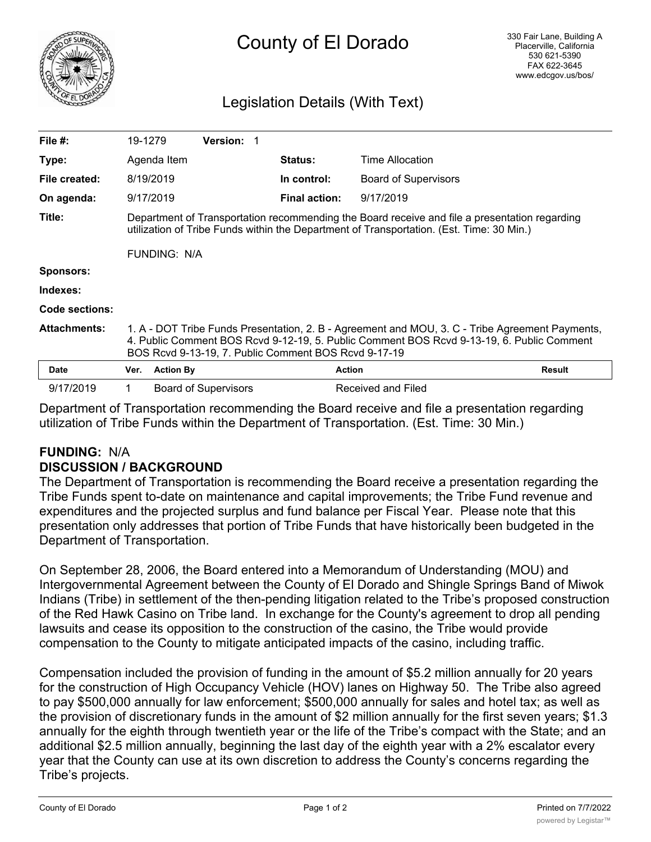

# Legislation Details (With Text)

| File $#$ :          | 19-1279                                                                                                                                                                                                                                              |                  | <b>Version:</b>             |  |                      |                             |               |
|---------------------|------------------------------------------------------------------------------------------------------------------------------------------------------------------------------------------------------------------------------------------------------|------------------|-----------------------------|--|----------------------|-----------------------------|---------------|
| Type:               |                                                                                                                                                                                                                                                      | Agenda Item      |                             |  | <b>Status:</b>       | Time Allocation             |               |
| File created:       |                                                                                                                                                                                                                                                      | 8/19/2019        |                             |  | In control:          | <b>Board of Supervisors</b> |               |
| On agenda:          |                                                                                                                                                                                                                                                      | 9/17/2019        |                             |  | <b>Final action:</b> | 9/17/2019                   |               |
| Title:              | Department of Transportation recommending the Board receive and file a presentation regarding<br>utilization of Tribe Funds within the Department of Transportation. (Est. Time: 30 Min.)                                                            |                  |                             |  |                      |                             |               |
|                     | FUNDING: N/A                                                                                                                                                                                                                                         |                  |                             |  |                      |                             |               |
| Sponsors:           |                                                                                                                                                                                                                                                      |                  |                             |  |                      |                             |               |
| Indexes:            |                                                                                                                                                                                                                                                      |                  |                             |  |                      |                             |               |
| Code sections:      |                                                                                                                                                                                                                                                      |                  |                             |  |                      |                             |               |
| <b>Attachments:</b> | 1. A - DOT Tribe Funds Presentation, 2. B - Agreement and MOU, 3. C - Tribe Agreement Payments,<br>4. Public Comment BOS Rcvd 9-12-19, 5. Public Comment BOS Rcvd 9-13-19, 6. Public Comment<br>BOS Rcvd 9-13-19, 7. Public Comment BOS Rcvd 9-17-19 |                  |                             |  |                      |                             |               |
| <b>Date</b>         | Ver.                                                                                                                                                                                                                                                 | <b>Action By</b> |                             |  | <b>Action</b>        |                             | <b>Result</b> |
| 9/17/2019           | 1.                                                                                                                                                                                                                                                   |                  | <b>Board of Supervisors</b> |  |                      | Received and Filed          |               |

Department of Transportation recommending the Board receive and file a presentation regarding utilization of Tribe Funds within the Department of Transportation. (Est. Time: 30 Min.)

## **FUNDING:** N/A **DISCUSSION / BACKGROUND**

The Department of Transportation is recommending the Board receive a presentation regarding the Tribe Funds spent to-date on maintenance and capital improvements; the Tribe Fund revenue and expenditures and the projected surplus and fund balance per Fiscal Year. Please note that this presentation only addresses that portion of Tribe Funds that have historically been budgeted in the Department of Transportation.

On September 28, 2006, the Board entered into a Memorandum of Understanding (MOU) and Intergovernmental Agreement between the County of El Dorado and Shingle Springs Band of Miwok Indians (Tribe) in settlement of the then-pending litigation related to the Tribe's proposed construction of the Red Hawk Casino on Tribe land. In exchange for the County's agreement to drop all pending lawsuits and cease its opposition to the construction of the casino, the Tribe would provide compensation to the County to mitigate anticipated impacts of the casino, including traffic.

Compensation included the provision of funding in the amount of \$5.2 million annually for 20 years for the construction of High Occupancy Vehicle (HOV) lanes on Highway 50. The Tribe also agreed to pay \$500,000 annually for law enforcement; \$500,000 annually for sales and hotel tax; as well as the provision of discretionary funds in the amount of \$2 million annually for the first seven years; \$1.3 annually for the eighth through twentieth year or the life of the Tribe's compact with the State; and an additional \$2.5 million annually, beginning the last day of the eighth year with a 2% escalator every year that the County can use at its own discretion to address the County's concerns regarding the Tribe's projects.